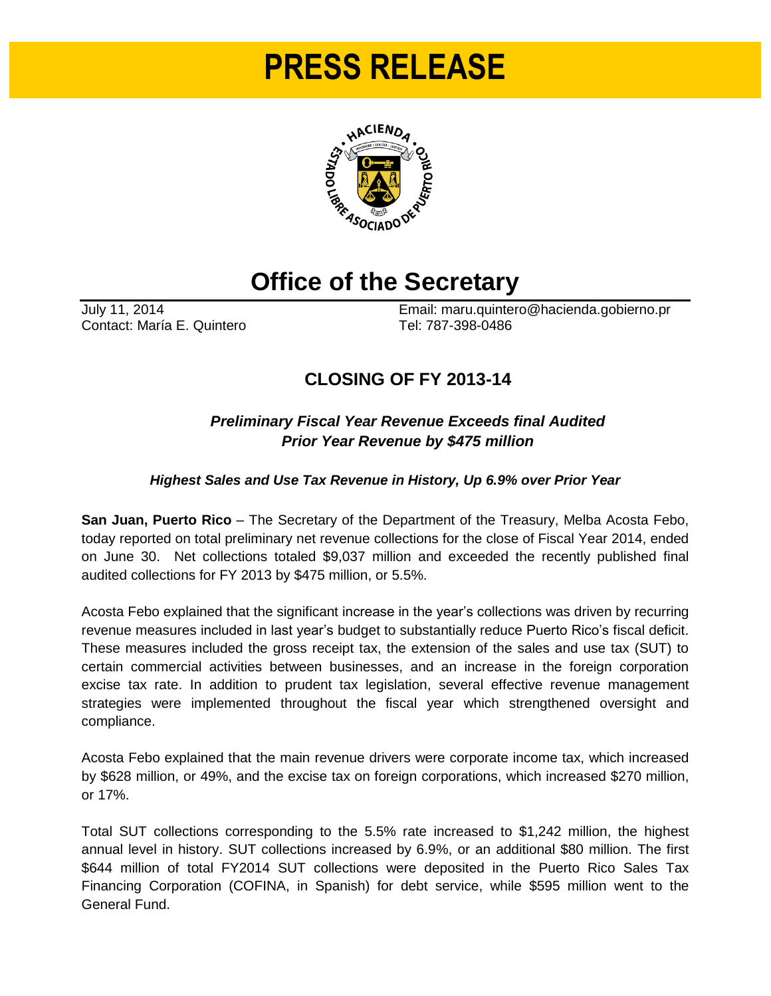# **PRESS RELEASE**



## **Office of the Secretary**

Contact: María E. Quintero Tel: 787-398-0486

July 11, 2014 Email: maru.quintero@hacienda.gobierno.pr

### **CLOSING OF FY 2013-14**

#### *Preliminary Fiscal Year Revenue Exceeds final Audited Prior Year Revenue by \$475 million*

#### *Highest Sales and Use Tax Revenue in History, Up 6.9% over Prior Year*

**San Juan, Puerto Rico** – The Secretary of the Department of the Treasury, Melba Acosta Febo, today reported on total preliminary net revenue collections for the close of Fiscal Year 2014, ended on June 30. Net collections totaled \$9,037 million and exceeded the recently published final audited collections for FY 2013 by \$475 million, or 5.5%.

Acosta Febo explained that the significant increase in the year's collections was driven by recurring revenue measures included in last year's budget to substantially reduce Puerto Rico's fiscal deficit. These measures included the gross receipt tax, the extension of the sales and use tax (SUT) to certain commercial activities between businesses, and an increase in the foreign corporation excise tax rate. In addition to prudent tax legislation, several effective revenue management strategies were implemented throughout the fiscal year which strengthened oversight and compliance.

Acosta Febo explained that the main revenue drivers were corporate income tax, which increased by \$628 million, or 49%, and the excise tax on foreign corporations, which increased \$270 million, or 17%.

Total SUT collections corresponding to the 5.5% rate increased to \$1,242 million, the highest annual level in history. SUT collections increased by 6.9%, or an additional \$80 million. The first \$644 million of total FY2014 SUT collections were deposited in the Puerto Rico Sales Tax Financing Corporation (COFINA, in Spanish) for debt service, while \$595 million went to the General Fund.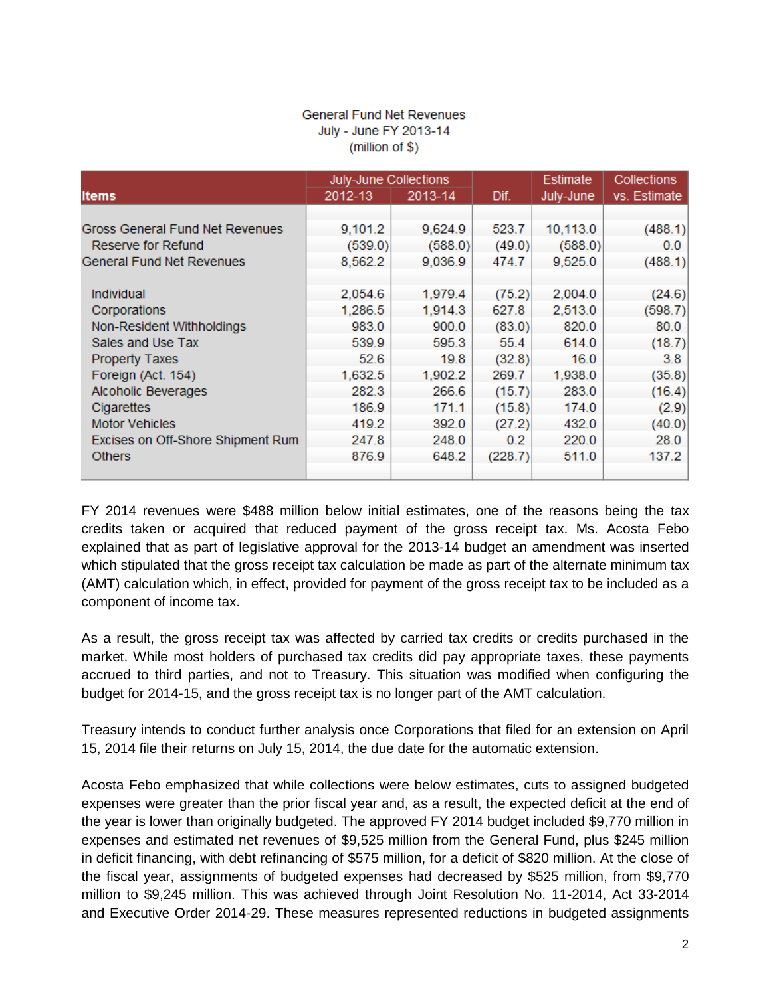#### **General Fund Net Revenues** July - June FY 2013-14  $(million of $)$

|                                   | July-June Collections |         |         | Estimate  | <b>Collections</b> |
|-----------------------------------|-----------------------|---------|---------|-----------|--------------------|
| <b>Items</b>                      | 2012-13               | 2013-14 | Dif.    | July-June | vs. Estimate       |
|                                   |                       |         |         |           |                    |
| Gross General Fund Net Revenues   | 9,101.2               | 9,624.9 | 523.7   | 10,113.0  | (488.1)            |
| Reserve for Refund                | (539.0)               | (588.0) | (49.0)  | (588.0)   | 0.0                |
| <b>General Fund Net Revenues</b>  | 8,562.2               | 9,036.9 | 474.7   | 9,525.0   | (488.1)            |
|                                   |                       |         |         |           |                    |
| <b>Individual</b>                 | 2,054.6               | 1,979.4 | (75.2)  | 2,004.0   | (24.6)             |
| Corporations                      | 1,286.5               | 1,914.3 | 627.8   | 2,513.0   | (598.7)            |
| Non-Resident Withholdings         | 983.0                 | 900.0   | (83.0)  | 820.0     | 80.0               |
| Sales and Use Tax                 | 539.9                 | 595.3   | 55.4    | 614.0     | (18.7)             |
| <b>Property Taxes</b>             | 52.6                  | 19.8    | (32.8)  | 16.0      | 3.8 <sub>1</sub>   |
| Foreign (Act. 154)                | 1,632.5               | 1,902.2 | 269.7   | 1,938.0   | (35.8)             |
| Alcoholic Beverages               | 282.3                 | 266.6   | (15.7)  | 283.0     | (16.4)             |
| Cigarettes                        | 186.9                 | 171.1   | (15.8)  | 174.0     | (2.9)              |
| <b>Motor Vehicles</b>             | 419.2                 | 392.0   | (27.2)  | 432.0     | (40.0)             |
| Excises on Off-Shore Shipment Rum | 247.8                 | 248.0   | 0.2     | 220.0     | 28.0               |
| <b>Others</b>                     | 876.9                 | 648.2   | (228.7) | 511.0     | 137.2              |
|                                   |                       |         |         |           |                    |

FY 2014 revenues were \$488 million below initial estimates, one of the reasons being the tax credits taken or acquired that reduced payment of the gross receipt tax. Ms. Acosta Febo explained that as part of legislative approval for the 2013-14 budget an amendment was inserted which stipulated that the gross receipt tax calculation be made as part of the alternate minimum tax (AMT) calculation which, in effect, provided for payment of the gross receipt tax to be included as a component of income tax.

As a result, the gross receipt tax was affected by carried tax credits or credits purchased in the market. While most holders of purchased tax credits did pay appropriate taxes, these payments accrued to third parties, and not to Treasury. This situation was modified when configuring the budget for 2014-15, and the gross receipt tax is no longer part of the AMT calculation.

Treasury intends to conduct further analysis once Corporations that filed for an extension on April 15, 2014 file their returns on July 15, 2014, the due date for the automatic extension.

Acosta Febo emphasized that while collections were below estimates, cuts to assigned budgeted expenses were greater than the prior fiscal year and, as a result, the expected deficit at the end of the year is lower than originally budgeted. The approved FY 2014 budget included \$9,770 million in expenses and estimated net revenues of \$9,525 million from the General Fund, plus \$245 million in deficit financing, with debt refinancing of \$575 million, for a deficit of \$820 million. At the close of the fiscal year, assignments of budgeted expenses had decreased by \$525 million, from \$9,770 million to \$9,245 million. This was achieved through Joint Resolution No. 11-2014, Act 33-2014 and Executive Order 2014-29. These measures represented reductions in budgeted assignments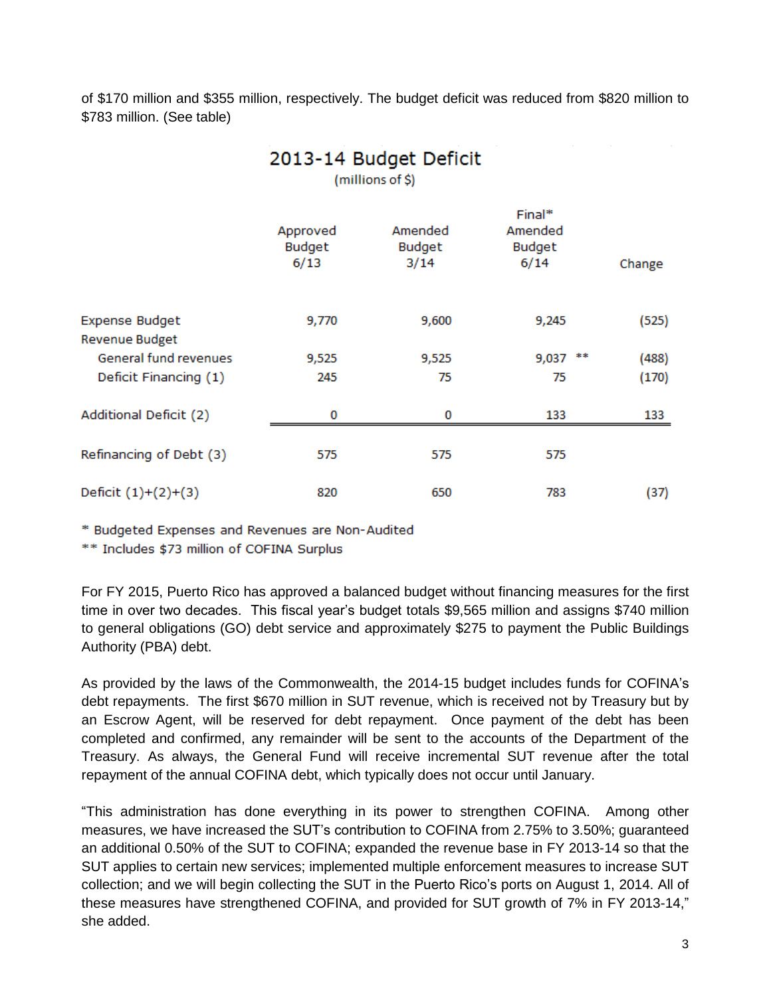of \$170 million and \$355 million, respectively. The budget deficit was reduced from \$820 million to \$783 million. (See table)

| 2013-14 Budget Deficit<br>(millions of \$)     |                            |                           |                                     |        |  |  |  |  |
|------------------------------------------------|----------------------------|---------------------------|-------------------------------------|--------|--|--|--|--|
|                                                | Approved<br>Budget<br>6/13 | Amended<br>Budget<br>3/14 | Final*<br>Amended<br>Budget<br>6/14 | Change |  |  |  |  |
| <b>Expense Budget</b><br><b>Revenue Budget</b> | 9,770                      | 9,600                     | 9,245                               | (525)  |  |  |  |  |
| General fund revenues                          | 9,525                      | 9,525                     | **<br>9,037                         | (488)  |  |  |  |  |
| Deficit Financing (1)                          | 245                        | 75                        | 75                                  | (170)  |  |  |  |  |
| <b>Additional Deficit (2)</b>                  | 0                          | 0                         | 133                                 | 133    |  |  |  |  |
| Refinancing of Debt (3)                        | 575                        | 575                       | 575                                 |        |  |  |  |  |
| Deficit $(1)+(2)+(3)$                          | 820                        | 650                       | 783                                 | (37)   |  |  |  |  |

\* Budgeted Expenses and Revenues are Non-Audited

\*\* Includes \$73 million of COFINA Surplus

For FY 2015, Puerto Rico has approved a balanced budget without financing measures for the first time in over two decades. This fiscal year's budget totals \$9,565 million and assigns \$740 million to general obligations (GO) debt service and approximately \$275 to payment the Public Buildings Authority (PBA) debt.

As provided by the laws of the Commonwealth, the 2014-15 budget includes funds for COFINA's debt repayments. The first \$670 million in SUT revenue, which is received not by Treasury but by an Escrow Agent, will be reserved for debt repayment. Once payment of the debt has been completed and confirmed, any remainder will be sent to the accounts of the Department of the Treasury. As always, the General Fund will receive incremental SUT revenue after the total repayment of the annual COFINA debt, which typically does not occur until January.

"This administration has done everything in its power to strengthen COFINA. Among other measures, we have increased the SUT's contribution to COFINA from 2.75% to 3.50%; guaranteed an additional 0.50% of the SUT to COFINA; expanded the revenue base in FY 2013-14 so that the SUT applies to certain new services; implemented multiple enforcement measures to increase SUT collection; and we will begin collecting the SUT in the Puerto Rico's ports on August 1, 2014. All of these measures have strengthened COFINA, and provided for SUT growth of 7% in FY 2013-14," she added.